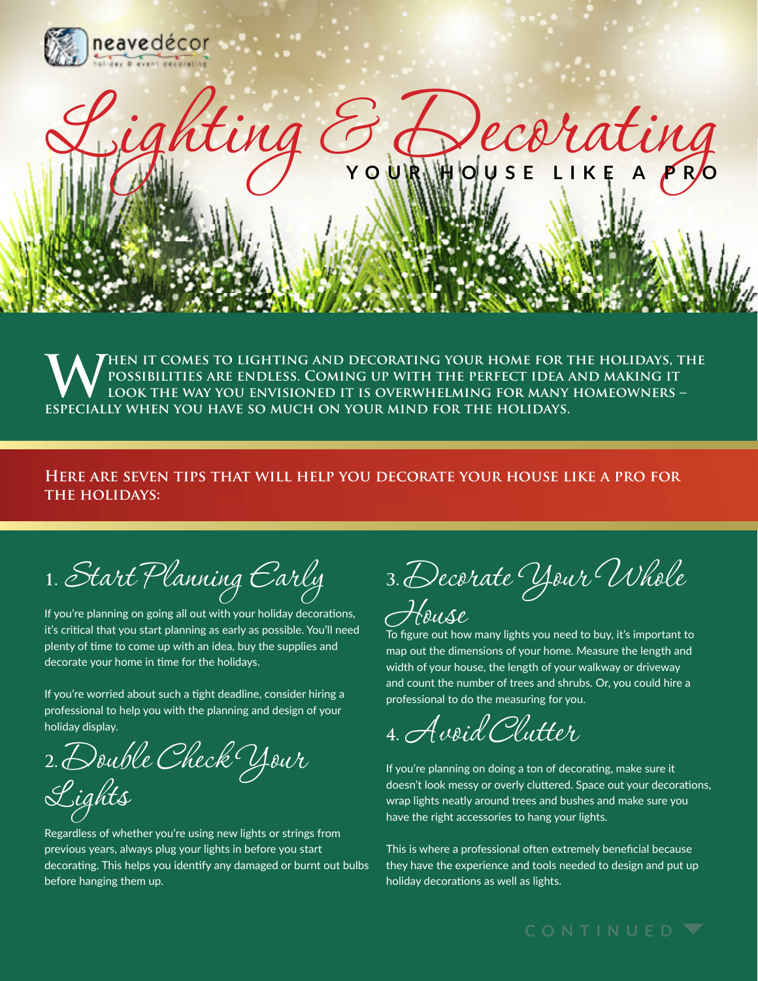

WHEN IT COMES TO LIGHTING AND DECORATING YOUR HOME FOR THE HOLIDAYS, THE POSSIBILITIES ARE ENDLESS. COMING UP WITH THE PERFECT IDEA AND MAKING IT LOOK THE WAY YOU ENVISIONED IT IS OVERWHELMING FOR MANY HOMEOWNERS – **possibilities are endless. Coming up with the perfect idea and making it look the way you envisioned it is overwhelming for many homeowners – especially when you have so much on your mind for the holidays.**

Ling  $\mathcal{G}_{\text{volume}}$  ecorating

## **Here are seven tips that will help you decorate your house like a pro for the holidays:**

**1.** Start Planning Early

If you're planning on going all out with your holiday decorations, it's critical that you start planning as early as possible. You'll need plenty of time to come up with an idea, buy the supplies and decorate your home in time for the holidays.

If you're worried about such a tight deadline, consider hiring a professional to help you with the planning and design of your holiday display.

**2.** Double Check Your Lights

Regardless of whether you're using new lights or strings from previous years, always plug your lights in before you start decorating. This helps you identify any damaged or burnt out bulbs before hanging them up.

**3.** Decorate Your Whole House

To figure out how many lights you need to buy, it's important to map out the dimensions of your home. Measure the length and width of your house, the length of your walkway or driveway and count the number of trees and shrubs. Or, you could hire a professional to do the measuring for you.

**4.** Avoid Clutter

If you're planning on doing a ton of decorating, make sure it doesn't look messy or overly cluttered. Space out your decorations, wrap lights neatly around trees and bushes and make sure you have the right accessories to hang your lights.

This is where a professional often extremely beneficial because they have the experience and tools needed to design and put up holiday decorations as well as lights.